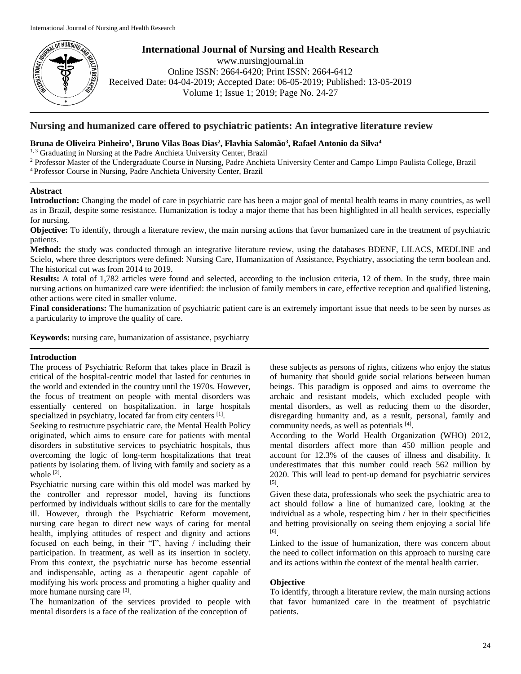

**International Journal of Nursing and Health Research**

www.nursingjournal.in Online ISSN: 2664-6420; Print ISSN: 2664-6412 Received Date: 04-04-2019; Accepted Date: 06-05-2019; Published: 13-05-2019 Volume 1; Issue 1; 2019; Page No. 24-27

# **Nursing and humanized care offered to psychiatric patients: An integrative literature review**

### **Bruna de Oliveira Pinheiro<sup>1</sup> , Bruno Vilas Boas Dias<sup>2</sup> , Flavhia Salomão<sup>3</sup> , Rafael Antonio da Silva<sup>4</sup>**

 $1, 3$  Graduating in Nursing at the Padre Anchieta University Center, Brazil

<sup>2</sup> Professor Master of the Undergraduate Course in Nursing, Padre Anchieta University Center and Campo Limpo Paulista College, Brazil <sup>4</sup>Professor Course in Nursing, Padre Anchieta University Center, Brazil

### **Abstract**

**Introduction:** Changing the model of care in psychiatric care has been a major goal of mental health teams in many countries, as well as in Brazil, despite some resistance. Humanization is today a major theme that has been highlighted in all health services, especially for nursing.

**Objective:** To identify, through a literature review, the main nursing actions that favor humanized care in the treatment of psychiatric patients.

**Method:** the study was conducted through an integrative literature review, using the databases BDENF, LILACS, MEDLINE and Scielo, where three descriptors were defined: Nursing Care, Humanization of Assistance, Psychiatry, associating the term boolean and. The historical cut was from 2014 to 2019.

**Results:** A total of 1,782 articles were found and selected, according to the inclusion criteria, 12 of them. In the study, three main nursing actions on humanized care were identified: the inclusion of family members in care, effective reception and qualified listening, other actions were cited in smaller volume.

**Final considerations:** The humanization of psychiatric patient care is an extremely important issue that needs to be seen by nurses as a particularity to improve the quality of care.

**Keywords:** nursing care, humanization of assistance, psychiatry

### **Introduction**

The process of Psychiatric Reform that takes place in Brazil is critical of the hospital-centric model that lasted for centuries in the world and extended in the country until the 1970s. However, the focus of treatment on people with mental disorders was essentially centered on hospitalization. in large hospitals specialized in psychiatry, located far from city centers [1].

Seeking to restructure psychiatric care, the Mental Health Policy originated, which aims to ensure care for patients with mental disorders in substitutive services to psychiatric hospitals, thus overcoming the logic of long-term hospitalizations that treat patients by isolating them. of living with family and society as a whole  $[2]$ .

Psychiatric nursing care within this old model was marked by the controller and repressor model, having its functions performed by individuals without skills to care for the mentally ill. However, through the Psychiatric Reform movement, nursing care began to direct new ways of caring for mental health, implying attitudes of respect and dignity and actions focused on each being, in their "I", having / including their participation. In treatment, as well as its insertion in society. From this context, the psychiatric nurse has become essential and indispensable, acting as a therapeutic agent capable of modifying his work process and promoting a higher quality and more humane nursing care [3].

The humanization of the services provided to people with mental disorders is a face of the realization of the conception of

these subjects as persons of rights, citizens who enjoy the status of humanity that should guide social relations between human beings. This paradigm is opposed and aims to overcome the archaic and resistant models, which excluded people with mental disorders, as well as reducing them to the disorder, disregarding humanity and, as a result, personal, family and community needs, as well as potentials [4].

According to the World Health Organization (WHO) 2012, mental disorders affect more than 450 million people and account for 12.3% of the causes of illness and disability. It underestimates that this number could reach 562 million by 2020. This will lead to pent-up demand for psychiatric services [5] .

Given these data, professionals who seek the psychiatric area to act should follow a line of humanized care, looking at the individual as a whole, respecting him / her in their specificities and betting provisionally on seeing them enjoying a social life [6] .

Linked to the issue of humanization, there was concern about the need to collect information on this approach to nursing care and its actions within the context of the mental health carrier.

# **Objective**

To identify, through a literature review, the main nursing actions that favor humanized care in the treatment of psychiatric patients.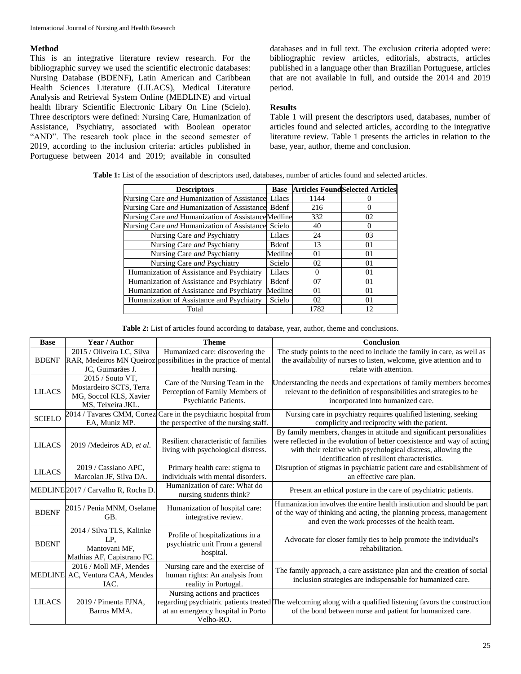# **Method**

This is an integrative literature review research. For the bibliographic survey we used the scientific electronic databases: Nursing Database (BDENF), Latin American and Caribbean Health Sciences Literature (LILACS), Medical Literature Analysis and Retrieval System Online (MEDLINE) and virtual health library Scientific Electronic Libary On Line (Scielo). Three descriptors were defined: Nursing Care, Humanization of Assistance, Psychiatry, associated with Boolean operator "AND". The research took place in the second semester of 2019, according to the inclusion criteria: articles published in Portuguese between 2014 and 2019; available in consulted

databases and in full text. The exclusion criteria adopted were: bibliographic review articles, editorials, abstracts, articles published in a language other than Brazilian Portuguese, articles that are not available in full, and outside the 2014 and 2019 period.

### **Results**

Table 1 will present the descriptors used, databases, number of articles found and selected articles, according to the integrative literature review. Table 1 presents the articles in relation to the base, year, author, theme and conclusion.

**Table 1:** List of the association of descriptors used, databases, number of articles found and selected articles.

| <b>Descriptors</b>                                  | <b>Base</b> |      | <b>Articles FoundSelected Articles</b> |
|-----------------------------------------------------|-------------|------|----------------------------------------|
| Nursing Care and Humanization of Assistance Lilacs  |             | 1144 |                                        |
| Nursing Care and Humanization of Assistance Bdenf   |             | 216  | 0                                      |
| Nursing Care and Humanization of Assistance Medline |             | 332  | 02                                     |
| Nursing Care and Humanization of Assistance Scielo  |             | 40   | $\theta$                               |
| Nursing Care and Psychiatry                         | Lilacs      | 24   | 03                                     |
| Nursing Care and Psychiatry                         | Bdenf       | 13   | 01                                     |
| Nursing Care and Psychiatry                         | Medline     | 01   | 01                                     |
| Nursing Care and Psychiatry                         | Scielo      | 02   | 01                                     |
| Humanization of Assistance and Psychiatry           | Lilacs      | 0    | 01                                     |
| Humanization of Assistance and Psychiatry           | Bdenf       | 07   | 01                                     |
| Humanization of Assistance and Psychiatry           | Medline     | 01   | 01                                     |
| Humanization of Assistance and Psychiatry           | Scielo      | 02   | 01                                     |
| Total                                               |             | 1782 | 12                                     |

**Table 2:** List of articles found according to database, year, author, theme and conclusions.

| <b>Base</b>   | Year / Author                                                                              | <b>Theme</b>                                                                                                           | <b>Conclusion</b>                                                                                                                                                                                                                                                |
|---------------|--------------------------------------------------------------------------------------------|------------------------------------------------------------------------------------------------------------------------|------------------------------------------------------------------------------------------------------------------------------------------------------------------------------------------------------------------------------------------------------------------|
| <b>BDENF</b>  | 2015 / Oliveira LC, Silva<br>JC, Guimarães J.                                              | Humanized care: discovering the<br>RAR, Medeiros MN Queiroz possibilities in the practice of mental<br>health nursing. | The study points to the need to include the family in care, as well as<br>the availability of nurses to listen, welcome, give attention and to<br>relate with attention.                                                                                         |
| <b>LILACS</b> | 2015 / Souto VT.<br>Mostardeiro SCTS, Terra<br>MG, Soccol KLS, Xavier<br>MS, Teixeira JKL. | Care of the Nursing Team in the<br>Perception of Family Members of<br>Psychiatric Patients.                            | Understanding the needs and expectations of family members becomes<br>relevant to the definition of responsibilities and strategies to be<br>incorporated into humanized care.                                                                                   |
| <b>SCIELO</b> | 2014 / Tavares CMM, Cortez<br>EA, Muniz MP.                                                | Care in the psychiatric hospital from<br>the perspective of the nursing staff.                                         | Nursing care in psychiatry requires qualified listening, seeking<br>complicity and reciprocity with the patient.                                                                                                                                                 |
| <b>LILACS</b> | 2019 /Medeiros AD, et al.                                                                  | Resilient characteristic of families<br>living with psychological distress.                                            | By family members, changes in attitude and significant personalities<br>were reflected in the evolution of better coexistence and way of acting<br>with their relative with psychological distress, allowing the<br>identification of resilient characteristics. |
| <b>LILACS</b> | 2019 / Cassiano APC,<br>Marcolan JF, Silva DA.                                             | Primary health care: stigma to<br>individuals with mental disorders.                                                   | Disruption of stigmas in psychiatric patient care and establishment of<br>an effective care plan.                                                                                                                                                                |
|               | MEDLINE 2017 / Carvalho R, Rocha D.                                                        | Humanization of care: What do<br>nursing students think?                                                               | Present an ethical posture in the care of psychiatric patients.                                                                                                                                                                                                  |
| <b>BDENF</b>  | 2015 / Penia MNM, Oselame<br>GB.                                                           | Humanization of hospital care:<br>integrative review.                                                                  | Humanization involves the entire health institution and should be part<br>of the way of thinking and acting, the planning process, management<br>and even the work processes of the health team.                                                                 |
| <b>BDENF</b>  | 2014 / Silva TLS, Kalinke<br>LP.<br>Mantovani MF.<br>Mathias AF, Capistrano FC.            | Profile of hospitalizations in a<br>psychiatric unit From a general<br>hospital.                                       | Advocate for closer family ties to help promote the individual's<br>rehabilitation.                                                                                                                                                                              |
|               | 2016 / Moll MF, Mendes<br>MEDLINE AC, Ventura CAA, Mendes<br>IAC.                          | Nursing care and the exercise of<br>human rights: An analysis from<br>reality in Portugal.                             | The family approach, a care assistance plan and the creation of social<br>inclusion strategies are indispensable for humanized care.                                                                                                                             |
| <b>LILACS</b> | 2019 / Pimenta FJNA,<br>Barros MMA.                                                        | Nursing actions and practices<br>at an emergency hospital in Porto<br>Velho-RO.                                        | regarding psychiatric patients treated The welcoming along with a qualified listening favors the construction<br>of the bond between nurse and patient for humanized care.                                                                                       |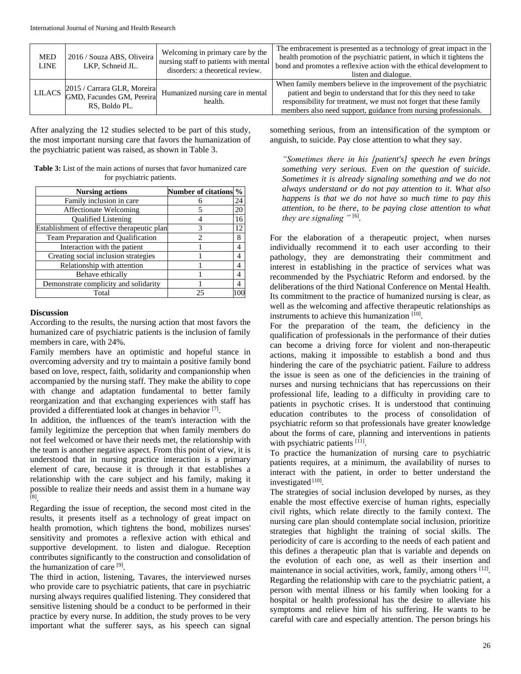| <b>MED</b><br><b>LINE</b> | 2016 / Souza ABS, Oliveira<br>LKP, Schneid JL.                                   | Welcoming in primary care by the<br>nursing staff to patients with mental<br>disorders: a theoretical review. | The embracement is presented as a technology of great impact in the<br>health promotion of the psychiatric patient, in which it tightens the<br>bond and promotes a reflexive action with the ethical development to<br>listen and dialogue.                                  |
|---------------------------|----------------------------------------------------------------------------------|---------------------------------------------------------------------------------------------------------------|-------------------------------------------------------------------------------------------------------------------------------------------------------------------------------------------------------------------------------------------------------------------------------|
|                           | LILACS 2015 / Carrara GLR, Moreira<br>GMD, Facundes GM, Pereira<br>RS. Boldo PL. | Humanized nursing care in mental<br>health.                                                                   | When family members believe in the improvement of the psychiatric<br>patient and begin to understand that for this they need to take<br>responsibility for treatment, we must not forget that these family<br>members also need support, guidance from nursing professionals. |

After analyzing the 12 studies selected to be part of this study, the most important nursing care that favors the humanization of the psychiatric patient was raised, as shown in Table 3.

**Table 3:** List of the main actions of nurses that favor humanized care for psychiatric patients.

| <b>Nursing actions</b>                      | Number of citations % |    |
|---------------------------------------------|-----------------------|----|
| Family inclusion in care                    |                       | 24 |
| <b>Affectionate Welcoming</b>               |                       | 20 |
| <b>Qualified Listening</b>                  |                       | 16 |
| Establishment of effective therapeutic plan |                       | 12 |
| Team Preparation and Qualification          | っ                     | 8  |
| Interaction with the patient                |                       |    |
| Creating social inclusion strategies        |                       |    |
| Relationship with attention                 |                       |    |
| Behave ethically                            |                       |    |
| Demonstrate complicity and solidarity       |                       |    |
| Total                                       | 25                    |    |

### **Discussion**

According to the results, the nursing action that most favors the humanized care of psychiatric patients is the inclusion of family members in care, with 24%.

Family members have an optimistic and hopeful stance in overcoming adversity and try to maintain a positive family bond based on love, respect, faith, solidarity and companionship when accompanied by the nursing staff. They make the ability to cope with change and adaptation fundamental to better family reorganization and that exchanging experiences with staff has provided a differentiated look at changes in behavior [7].

In addition, the influences of the team's interaction with the family legitimize the perception that when family members do not feel welcomed or have their needs met, the relationship with the team is another negative aspect. From this point of view, it is understood that in nursing practice interaction is a primary element of care, because it is through it that establishes a relationship with the care subject and his family, making it possible to realize their needs and assist them in a humane way [8] .

Regarding the issue of reception, the second most cited in the results, it presents itself as a technology of great impact on health promotion, which tightens the bond, mobilizes nurses' sensitivity and promotes a reflexive action with ethical and supportive development. to listen and dialogue. Reception contributes significantly to the construction and consolidation of the humanization of care <sup>[9]</sup>.

The third in action, listening, Tavares, the interviewed nurses who provide care to psychiatric patients, that care in psychiatric nursing always requires qualified listening. They considered that sensitive listening should be a conduct to be performed in their practice by every nurse. In addition, the study proves to be very important what the sufferer says, as his speech can signal

something serious, from an intensification of the symptom or anguish, to suicide. Pay close attention to what they say.

*"Sometimes there in his [patient's] speech he even brings something very serious. Even on the question of suicide. Sometimes it is already signaling something and we do not always understand or do not pay attention to it. What also happens is that we do not have so much time to pay this attention, to be there, to be paying close attention to what they are signaling "* [6] *.*

For the elaboration of a therapeutic project, when nurses individually recommend it to each user according to their pathology, they are demonstrating their commitment and interest in establishing in the practice of services what was recommended by the Psychiatric Reform and endorsed. by the deliberations of the third National Conference on Mental Health. Its commitment to the practice of humanized nursing is clear, as well as the welcoming and affective therapeutic relationships as instruments to achieve this humanization [10].

For the preparation of the team, the deficiency in the qualification of professionals in the performance of their duties can become a driving force for violent and non-therapeutic actions, making it impossible to establish a bond and thus hindering the care of the psychiatric patient. Failure to address the issue is seen as one of the deficiencies in the training of nurses and nursing technicians that has repercussions on their professional life, leading to a difficulty in providing care to patients in psychotic crises. It is understood that continuing education contributes to the process of consolidation of psychiatric reform so that professionals have greater knowledge about the forms of care, planning and interventions in patients with psychiatric patients [11].

To practice the humanization of nursing care to psychiatric patients requires, at a minimum, the availability of nurses to interact with the patient, in order to better understand the investigated [10].

The strategies of social inclusion developed by nurses, as they enable the most effective exercise of human rights, especially civil rights, which relate directly to the family context. The nursing care plan should contemplate social inclusion, prioritize strategies that highlight the training of social skills. The periodicity of care is according to the needs of each patient and this defines a therapeutic plan that is variable and depends on the evolution of each one, as well as their insertion and maintenance in social activities, work, family, among others [12]. Regarding the relationship with care to the psychiatric patient, a person with mental illness or his family when looking for a hospital or health professional has the desire to alleviate his symptoms and relieve him of his suffering. He wants to be careful with care and especially attention. The person brings his